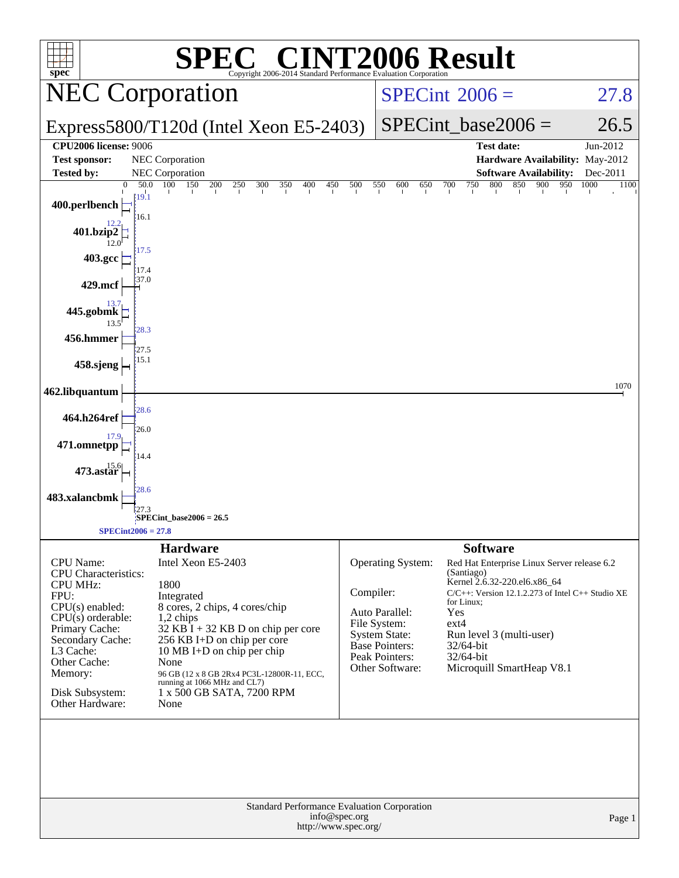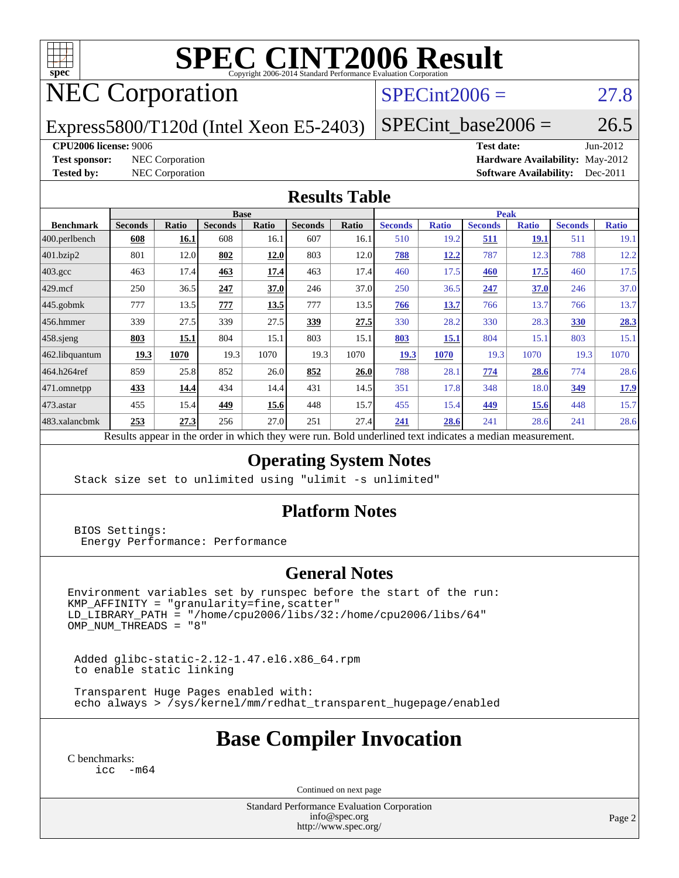

# **[SPEC CINT2006 Result](http://www.spec.org/auto/cpu2006/Docs/result-fields.html#SPECCINT2006Result)**

## NEC Corporation

### $SPECint2006 = 27.8$  $SPECint2006 = 27.8$

Express5800/T120d (Intel Xeon E5-2403)

 $SPECTnt\_base2006 = 26.5$ 

### **[CPU2006 license:](http://www.spec.org/auto/cpu2006/Docs/result-fields.html#CPU2006license)** 9006 **[Test date:](http://www.spec.org/auto/cpu2006/Docs/result-fields.html#Testdate)** Jun-2012

**[Test sponsor:](http://www.spec.org/auto/cpu2006/Docs/result-fields.html#Testsponsor)** NEC Corporation **[Hardware Availability:](http://www.spec.org/auto/cpu2006/Docs/result-fields.html#HardwareAvailability)** May-2012 **[Tested by:](http://www.spec.org/auto/cpu2006/Docs/result-fields.html#Testedby)** NEC Corporation **[Software Availability:](http://www.spec.org/auto/cpu2006/Docs/result-fields.html#SoftwareAvailability)** Dec-2011

### **[Results Table](http://www.spec.org/auto/cpu2006/Docs/result-fields.html#ResultsTable)**

|                                                                                      | <b>Base</b>    |              |                |       |                |       | <b>Peak</b>    |              |                |              |                |              |
|--------------------------------------------------------------------------------------|----------------|--------------|----------------|-------|----------------|-------|----------------|--------------|----------------|--------------|----------------|--------------|
| <b>Benchmark</b>                                                                     | <b>Seconds</b> | <b>Ratio</b> | <b>Seconds</b> | Ratio | <b>Seconds</b> | Ratio | <b>Seconds</b> | <b>Ratio</b> | <b>Seconds</b> | <b>Ratio</b> | <b>Seconds</b> | <b>Ratio</b> |
| 400.perlbench                                                                        | 608            | 16.1         | 608            | 16.1  | 607            | 16.1  | 510            | 19.2         | <u>511</u>     | <u>19.1</u>  | 511            | 19.1         |
| 401.bzip2                                                                            | 801            | 12.0         | 802            | 12.0  | 803            | 12.0  | 788            | <u>12.2</u>  | 787            | 12.3         | 788            | 12.2         |
| $403.\mathrm{gcc}$                                                                   | 463            | 17.4         | 463            | 17.4  | 463            | 17.4  | 460            | 17.5         | 460            | 17.5         | 460            | 17.5         |
| $429$ mcf                                                                            | 250            | 36.5         | 247            | 37.0  | 246            | 37.0  | 250            | 36.5         | 247            | 37.0         | 246            | 37.0         |
| $445$ .gobmk                                                                         | 777            | 13.5         | 777            | 13.5  | 777            | 13.5  | 766            | 13.7         | 766            | 13.7         | 766            | 13.7         |
| $ 456$ .hmmer                                                                        | 339            | 27.5         | 339            | 27.5  | 339            | 27.5  | 330            | 28.2         | 330            | 28.3         | 330            | 28.3         |
| $458$ .sjeng                                                                         | 803            | 15.1         | 804            | 15.1  | 803            | 15.1  | 803            | 15.1         | 804            | 15.1         | 803            | 15.1         |
| 462.libquantum                                                                       | 19.3           | 1070         | 19.3           | 1070  | 19.3           | 1070  | 19.3           | 1070         | 19.3           | 1070         | 19.3           | 1070         |
| 464.h264ref                                                                          | 859            | 25.8         | 852            | 26.0  | 852            | 26.0  | 788            | 28.1         | 774            | 28.6         | 774            | 28.6         |
| 471.omnetpp                                                                          | 433            | 14.4         | 434            | 14.4  | 431            | 14.5  | 351            | 17.8         | 348            | 18.0         | 349            | <u>17.9</u>  |
| $473$ . astar                                                                        | 455            | 15.4         | 449            | 15.6  | 448            | 15.7  | 455            | 15.4         | 449            | 15.6         | 448            | 15.7         |
| 483.xalancbmk                                                                        | 253            | 27.3         | 256            | 27.0  | 251            | 27.4  | 241            | 28.6         | 241            | 28.6         | 241            | 28.6         |
| .<br>n.<br>$\mathbf{1}$<br>1.1.1<br>$\cdot$<br>$n$ 11<br>$1 \quad 1$<br>$\mathbf{1}$ |                |              |                |       |                |       |                |              |                |              |                |              |

Results appear in the [order in which they were run.](http://www.spec.org/auto/cpu2006/Docs/result-fields.html#RunOrder) Bold underlined text [indicates a median measurement.](http://www.spec.org/auto/cpu2006/Docs/result-fields.html#Median)

### **[Operating System Notes](http://www.spec.org/auto/cpu2006/Docs/result-fields.html#OperatingSystemNotes)**

Stack size set to unlimited using "ulimit -s unlimited"

### **[Platform Notes](http://www.spec.org/auto/cpu2006/Docs/result-fields.html#PlatformNotes)**

 BIOS Settings: Energy Performance: Performance

### **[General Notes](http://www.spec.org/auto/cpu2006/Docs/result-fields.html#GeneralNotes)**

Environment variables set by runspec before the start of the run: KMP\_AFFINITY = "granularity=fine,scatter" LD\_LIBRARY\_PATH = "/home/cpu2006/libs/32:/home/cpu2006/libs/64"  $OMP_NUM_THREADS = "8"$ 

 Added glibc-static-2.12-1.47.el6.x86\_64.rpm to enable static linking

 Transparent Huge Pages enabled with: echo always > /sys/kernel/mm/redhat\_transparent\_hugepage/enabled

### **[Base Compiler Invocation](http://www.spec.org/auto/cpu2006/Docs/result-fields.html#BaseCompilerInvocation)**

[C benchmarks](http://www.spec.org/auto/cpu2006/Docs/result-fields.html#Cbenchmarks): [icc -m64](http://www.spec.org/cpu2006/results/res2012q3/cpu2006-20120617-22917.flags.html#user_CCbase_intel_icc_64bit_f346026e86af2a669e726fe758c88044)

Continued on next page

Standard Performance Evaluation Corporation [info@spec.org](mailto:info@spec.org) <http://www.spec.org/>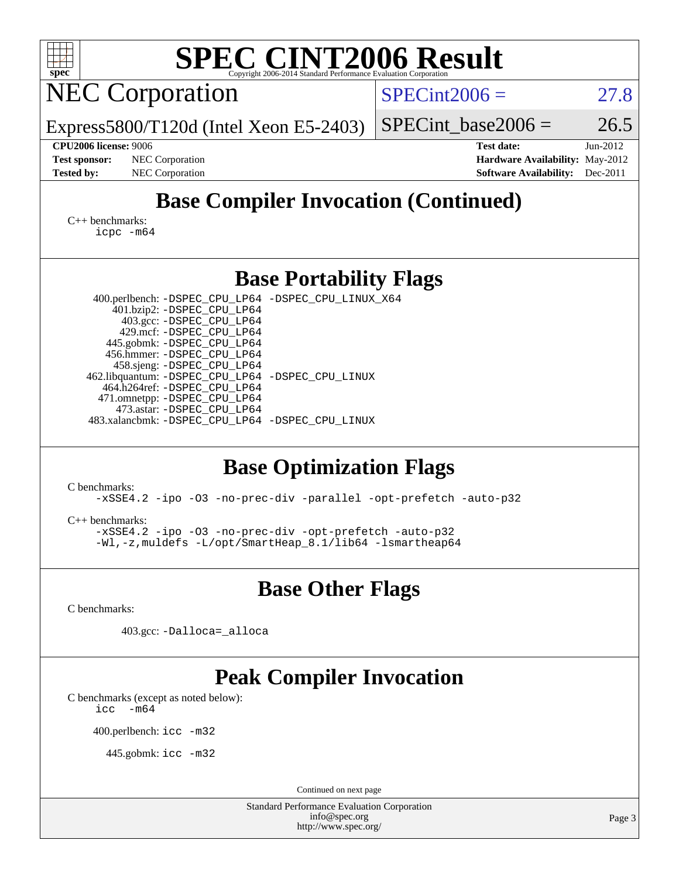| SPEC CINT2006 Evaluation Corporation<br>spec®                                                                                                                                                                                                                                                                                                                                                                                             |                                                                                                               |  |  |  |  |  |  |  |  |
|-------------------------------------------------------------------------------------------------------------------------------------------------------------------------------------------------------------------------------------------------------------------------------------------------------------------------------------------------------------------------------------------------------------------------------------------|---------------------------------------------------------------------------------------------------------------|--|--|--|--|--|--|--|--|
| <b>NEC Corporation</b>                                                                                                                                                                                                                                                                                                                                                                                                                    | $SPECint2006 =$<br>27.8                                                                                       |  |  |  |  |  |  |  |  |
| Express5800/T120d (Intel Xeon E5-2403)                                                                                                                                                                                                                                                                                                                                                                                                    | 26.5<br>$SPECint\_base2006 =$                                                                                 |  |  |  |  |  |  |  |  |
| <b>CPU2006 license: 9006</b><br>NEC Corporation<br><b>Test sponsor:</b><br><b>Tested by:</b><br>NEC Corporation                                                                                                                                                                                                                                                                                                                           | <b>Test date:</b><br>Jun-2012<br>Hardware Availability: May-2012<br><b>Software Availability:</b><br>Dec-2011 |  |  |  |  |  |  |  |  |
| <b>Base Compiler Invocation (Continued)</b><br>$C_{++}$ benchmarks:                                                                                                                                                                                                                                                                                                                                                                       |                                                                                                               |  |  |  |  |  |  |  |  |
| icpc -m64                                                                                                                                                                                                                                                                                                                                                                                                                                 |                                                                                                               |  |  |  |  |  |  |  |  |
| <b>Base Portability Flags</b>                                                                                                                                                                                                                                                                                                                                                                                                             |                                                                                                               |  |  |  |  |  |  |  |  |
| 400.perlbench: -DSPEC_CPU_LP64 -DSPEC_CPU_LINUX_X64<br>401.bzip2: -DSPEC_CPU_LP64<br>403.gcc: -DSPEC_CPU_LP64<br>429.mcf: -DSPEC_CPU_LP64<br>445.gobmk: -DSPEC_CPU_LP64<br>456.hmmer: - DSPEC_CPU_LP64<br>458.sjeng: -DSPEC_CPU_LP64<br>462.libquantum: -DSPEC_CPU_LP64 -DSPEC_CPU_LINUX<br>464.h264ref: -DSPEC_CPU_LP64<br>471.omnetpp: -DSPEC_CPU_LP64<br>473.astar: -DSPEC_CPU_LP64<br>483.xalancbmk: -DSPEC_CPU_LP64 -DSPEC_CPU_LINUX |                                                                                                               |  |  |  |  |  |  |  |  |
| <b>Base Optimization Flags</b><br>C benchmarks:                                                                                                                                                                                                                                                                                                                                                                                           |                                                                                                               |  |  |  |  |  |  |  |  |
| -xSSE4.2 -ipo -03 -no-prec-div -parallel -opt-prefetch -auto-p32<br>$C_{++}$ benchmarks:<br>-xSSE4.2 -ipo -03 -no-prec-div -opt-prefetch -auto-p32<br>-Wl,-z, muldefs -L/opt/SmartHeap_8.1/lib64 -lsmartheap64                                                                                                                                                                                                                            |                                                                                                               |  |  |  |  |  |  |  |  |
| <b>Base Other Flags</b>                                                                                                                                                                                                                                                                                                                                                                                                                   |                                                                                                               |  |  |  |  |  |  |  |  |
| C benchmarks:                                                                                                                                                                                                                                                                                                                                                                                                                             |                                                                                                               |  |  |  |  |  |  |  |  |
| 403.gcc: -Dalloca=_alloca                                                                                                                                                                                                                                                                                                                                                                                                                 |                                                                                                               |  |  |  |  |  |  |  |  |
| <b>Peak Compiler Invocation</b><br>C benchmarks (except as noted below):<br>$-m64$<br>icc                                                                                                                                                                                                                                                                                                                                                 |                                                                                                               |  |  |  |  |  |  |  |  |
| 400.perlbench: icc -m32                                                                                                                                                                                                                                                                                                                                                                                                                   |                                                                                                               |  |  |  |  |  |  |  |  |
| 445.gobmk: icc -m32                                                                                                                                                                                                                                                                                                                                                                                                                       |                                                                                                               |  |  |  |  |  |  |  |  |
| Continued on next page                                                                                                                                                                                                                                                                                                                                                                                                                    |                                                                                                               |  |  |  |  |  |  |  |  |
| <b>Standard Performance Evaluation Corporation</b><br>info@spec.org<br>http://www.spec.org/                                                                                                                                                                                                                                                                                                                                               | Page 3                                                                                                        |  |  |  |  |  |  |  |  |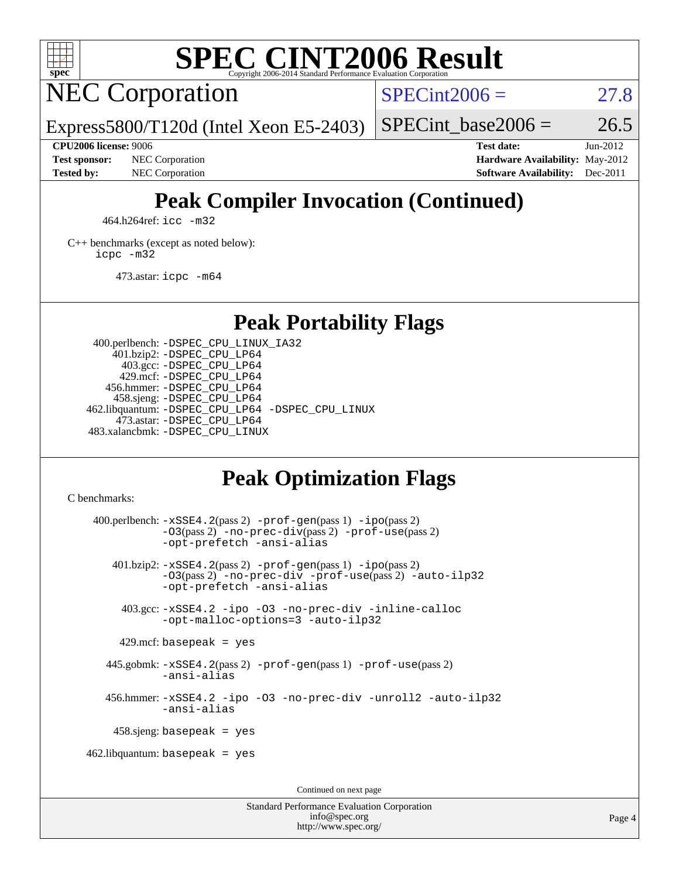

## **[SPEC CINT2006 Result](http://www.spec.org/auto/cpu2006/Docs/result-fields.html#SPECCINT2006Result)**

NEC Corporation

 $SPECint2006 = 27.8$  $SPECint2006 = 27.8$ 

Express5800/T120d (Intel Xeon E5-2403)

SPECint base2006 =  $26.5$ 

**[Test sponsor:](http://www.spec.org/auto/cpu2006/Docs/result-fields.html#Testsponsor)** NEC Corporation **[Hardware Availability:](http://www.spec.org/auto/cpu2006/Docs/result-fields.html#HardwareAvailability)** May-2012

**[CPU2006 license:](http://www.spec.org/auto/cpu2006/Docs/result-fields.html#CPU2006license)** 9006 **[Test date:](http://www.spec.org/auto/cpu2006/Docs/result-fields.html#Testdate)** Jun-2012 **[Tested by:](http://www.spec.org/auto/cpu2006/Docs/result-fields.html#Testedby)** NEC Corporation **[Software Availability:](http://www.spec.org/auto/cpu2006/Docs/result-fields.html#SoftwareAvailability)** Dec-2011

### **[Peak Compiler Invocation \(Continued\)](http://www.spec.org/auto/cpu2006/Docs/result-fields.html#PeakCompilerInvocation)**

464.h264ref: [icc -m32](http://www.spec.org/cpu2006/results/res2012q3/cpu2006-20120617-22917.flags.html#user_peakCCLD464_h264ref_intel_icc_a6a621f8d50482236b970c6ac5f55f93)

[C++ benchmarks \(except as noted below\):](http://www.spec.org/auto/cpu2006/Docs/result-fields.html#CXXbenchmarksexceptasnotedbelow) [icpc -m32](http://www.spec.org/cpu2006/results/res2012q3/cpu2006-20120617-22917.flags.html#user_CXXpeak_intel_icpc_4e5a5ef1a53fd332b3c49e69c3330699)

473.astar: [icpc -m64](http://www.spec.org/cpu2006/results/res2012q3/cpu2006-20120617-22917.flags.html#user_peakCXXLD473_astar_intel_icpc_64bit_fc66a5337ce925472a5c54ad6a0de310)

### **[Peak Portability Flags](http://www.spec.org/auto/cpu2006/Docs/result-fields.html#PeakPortabilityFlags)**

 400.perlbench: [-DSPEC\\_CPU\\_LINUX\\_IA32](http://www.spec.org/cpu2006/results/res2012q3/cpu2006-20120617-22917.flags.html#b400.perlbench_peakCPORTABILITY_DSPEC_CPU_LINUX_IA32) 401.bzip2: [-DSPEC\\_CPU\\_LP64](http://www.spec.org/cpu2006/results/res2012q3/cpu2006-20120617-22917.flags.html#suite_peakPORTABILITY401_bzip2_DSPEC_CPU_LP64) 403.gcc: [-DSPEC\\_CPU\\_LP64](http://www.spec.org/cpu2006/results/res2012q3/cpu2006-20120617-22917.flags.html#suite_peakPORTABILITY403_gcc_DSPEC_CPU_LP64) 429.mcf: [-DSPEC\\_CPU\\_LP64](http://www.spec.org/cpu2006/results/res2012q3/cpu2006-20120617-22917.flags.html#suite_peakPORTABILITY429_mcf_DSPEC_CPU_LP64) 456.hmmer: [-DSPEC\\_CPU\\_LP64](http://www.spec.org/cpu2006/results/res2012q3/cpu2006-20120617-22917.flags.html#suite_peakPORTABILITY456_hmmer_DSPEC_CPU_LP64) 458.sjeng: [-DSPEC\\_CPU\\_LP64](http://www.spec.org/cpu2006/results/res2012q3/cpu2006-20120617-22917.flags.html#suite_peakPORTABILITY458_sjeng_DSPEC_CPU_LP64) 462.libquantum: [-DSPEC\\_CPU\\_LP64](http://www.spec.org/cpu2006/results/res2012q3/cpu2006-20120617-22917.flags.html#suite_peakPORTABILITY462_libquantum_DSPEC_CPU_LP64) [-DSPEC\\_CPU\\_LINUX](http://www.spec.org/cpu2006/results/res2012q3/cpu2006-20120617-22917.flags.html#b462.libquantum_peakCPORTABILITY_DSPEC_CPU_LINUX) 473.astar: [-DSPEC\\_CPU\\_LP64](http://www.spec.org/cpu2006/results/res2012q3/cpu2006-20120617-22917.flags.html#suite_peakPORTABILITY473_astar_DSPEC_CPU_LP64) 483.xalancbmk: [-DSPEC\\_CPU\\_LINUX](http://www.spec.org/cpu2006/results/res2012q3/cpu2006-20120617-22917.flags.html#b483.xalancbmk_peakCXXPORTABILITY_DSPEC_CPU_LINUX)

### **[Peak Optimization Flags](http://www.spec.org/auto/cpu2006/Docs/result-fields.html#PeakOptimizationFlags)**

[C benchmarks](http://www.spec.org/auto/cpu2006/Docs/result-fields.html#Cbenchmarks):

 400.perlbench: [-xSSE4.2](http://www.spec.org/cpu2006/results/res2012q3/cpu2006-20120617-22917.flags.html#user_peakPASS2_CFLAGSPASS2_LDCFLAGS400_perlbench_f-xSSE42_f91528193cf0b216347adb8b939d4107)(pass 2) [-prof-gen](http://www.spec.org/cpu2006/results/res2012q3/cpu2006-20120617-22917.flags.html#user_peakPASS1_CFLAGSPASS1_LDCFLAGS400_perlbench_prof_gen_e43856698f6ca7b7e442dfd80e94a8fc)(pass 1) [-ipo](http://www.spec.org/cpu2006/results/res2012q3/cpu2006-20120617-22917.flags.html#user_peakPASS2_CFLAGSPASS2_LDCFLAGS400_perlbench_f-ipo)(pass 2) [-O3](http://www.spec.org/cpu2006/results/res2012q3/cpu2006-20120617-22917.flags.html#user_peakPASS2_CFLAGSPASS2_LDCFLAGS400_perlbench_f-O3)(pass 2) [-no-prec-div](http://www.spec.org/cpu2006/results/res2012q3/cpu2006-20120617-22917.flags.html#user_peakPASS2_CFLAGSPASS2_LDCFLAGS400_perlbench_f-no-prec-div)(pass 2) [-prof-use](http://www.spec.org/cpu2006/results/res2012q3/cpu2006-20120617-22917.flags.html#user_peakPASS2_CFLAGSPASS2_LDCFLAGS400_perlbench_prof_use_bccf7792157ff70d64e32fe3e1250b55)(pass 2) [-opt-prefetch](http://www.spec.org/cpu2006/results/res2012q3/cpu2006-20120617-22917.flags.html#user_peakCOPTIMIZE400_perlbench_f-opt-prefetch) [-ansi-alias](http://www.spec.org/cpu2006/results/res2012q3/cpu2006-20120617-22917.flags.html#user_peakCOPTIMIZE400_perlbench_f-ansi-alias) 401.bzip2: [-xSSE4.2](http://www.spec.org/cpu2006/results/res2012q3/cpu2006-20120617-22917.flags.html#user_peakPASS2_CFLAGSPASS2_LDCFLAGS401_bzip2_f-xSSE42_f91528193cf0b216347adb8b939d4107)(pass 2) [-prof-gen](http://www.spec.org/cpu2006/results/res2012q3/cpu2006-20120617-22917.flags.html#user_peakPASS1_CFLAGSPASS1_LDCFLAGS401_bzip2_prof_gen_e43856698f6ca7b7e442dfd80e94a8fc)(pass 1) [-ipo](http://www.spec.org/cpu2006/results/res2012q3/cpu2006-20120617-22917.flags.html#user_peakPASS2_CFLAGSPASS2_LDCFLAGS401_bzip2_f-ipo)(pass 2) [-O3](http://www.spec.org/cpu2006/results/res2012q3/cpu2006-20120617-22917.flags.html#user_peakPASS2_CFLAGSPASS2_LDCFLAGS401_bzip2_f-O3)(pass 2) [-no-prec-div](http://www.spec.org/cpu2006/results/res2012q3/cpu2006-20120617-22917.flags.html#user_peakCOPTIMIZEPASS2_CFLAGSPASS2_LDCFLAGS401_bzip2_f-no-prec-div) [-prof-use](http://www.spec.org/cpu2006/results/res2012q3/cpu2006-20120617-22917.flags.html#user_peakPASS2_CFLAGSPASS2_LDCFLAGS401_bzip2_prof_use_bccf7792157ff70d64e32fe3e1250b55)(pass 2) [-auto-ilp32](http://www.spec.org/cpu2006/results/res2012q3/cpu2006-20120617-22917.flags.html#user_peakCOPTIMIZE401_bzip2_f-auto-ilp32) [-opt-prefetch](http://www.spec.org/cpu2006/results/res2012q3/cpu2006-20120617-22917.flags.html#user_peakCOPTIMIZE401_bzip2_f-opt-prefetch) [-ansi-alias](http://www.spec.org/cpu2006/results/res2012q3/cpu2006-20120617-22917.flags.html#user_peakCOPTIMIZE401_bzip2_f-ansi-alias) 403.gcc: [-xSSE4.2](http://www.spec.org/cpu2006/results/res2012q3/cpu2006-20120617-22917.flags.html#user_peakCOPTIMIZE403_gcc_f-xSSE42_f91528193cf0b216347adb8b939d4107) [-ipo](http://www.spec.org/cpu2006/results/res2012q3/cpu2006-20120617-22917.flags.html#user_peakCOPTIMIZE403_gcc_f-ipo) [-O3](http://www.spec.org/cpu2006/results/res2012q3/cpu2006-20120617-22917.flags.html#user_peakCOPTIMIZE403_gcc_f-O3) [-no-prec-div](http://www.spec.org/cpu2006/results/res2012q3/cpu2006-20120617-22917.flags.html#user_peakCOPTIMIZE403_gcc_f-no-prec-div) [-inline-calloc](http://www.spec.org/cpu2006/results/res2012q3/cpu2006-20120617-22917.flags.html#user_peakCOPTIMIZE403_gcc_f-inline-calloc) [-opt-malloc-options=3](http://www.spec.org/cpu2006/results/res2012q3/cpu2006-20120617-22917.flags.html#user_peakCOPTIMIZE403_gcc_f-opt-malloc-options_13ab9b803cf986b4ee62f0a5998c2238) [-auto-ilp32](http://www.spec.org/cpu2006/results/res2012q3/cpu2006-20120617-22917.flags.html#user_peakCOPTIMIZE403_gcc_f-auto-ilp32)  $429$ .mcf: basepeak = yes 445.gobmk: [-xSSE4.2](http://www.spec.org/cpu2006/results/res2012q3/cpu2006-20120617-22917.flags.html#user_peakPASS2_CFLAGSPASS2_LDCFLAGS445_gobmk_f-xSSE42_f91528193cf0b216347adb8b939d4107)(pass 2) [-prof-gen](http://www.spec.org/cpu2006/results/res2012q3/cpu2006-20120617-22917.flags.html#user_peakPASS1_CFLAGSPASS1_LDCFLAGS445_gobmk_prof_gen_e43856698f6ca7b7e442dfd80e94a8fc)(pass 1) [-prof-use](http://www.spec.org/cpu2006/results/res2012q3/cpu2006-20120617-22917.flags.html#user_peakPASS2_CFLAGSPASS2_LDCFLAGS445_gobmk_prof_use_bccf7792157ff70d64e32fe3e1250b55)(pass 2) [-ansi-alias](http://www.spec.org/cpu2006/results/res2012q3/cpu2006-20120617-22917.flags.html#user_peakCOPTIMIZE445_gobmk_f-ansi-alias) 456.hmmer: [-xSSE4.2](http://www.spec.org/cpu2006/results/res2012q3/cpu2006-20120617-22917.flags.html#user_peakCOPTIMIZE456_hmmer_f-xSSE42_f91528193cf0b216347adb8b939d4107) [-ipo](http://www.spec.org/cpu2006/results/res2012q3/cpu2006-20120617-22917.flags.html#user_peakCOPTIMIZE456_hmmer_f-ipo) [-O3](http://www.spec.org/cpu2006/results/res2012q3/cpu2006-20120617-22917.flags.html#user_peakCOPTIMIZE456_hmmer_f-O3) [-no-prec-div](http://www.spec.org/cpu2006/results/res2012q3/cpu2006-20120617-22917.flags.html#user_peakCOPTIMIZE456_hmmer_f-no-prec-div) [-unroll2](http://www.spec.org/cpu2006/results/res2012q3/cpu2006-20120617-22917.flags.html#user_peakCOPTIMIZE456_hmmer_f-unroll_784dae83bebfb236979b41d2422d7ec2) [-auto-ilp32](http://www.spec.org/cpu2006/results/res2012q3/cpu2006-20120617-22917.flags.html#user_peakCOPTIMIZE456_hmmer_f-auto-ilp32) [-ansi-alias](http://www.spec.org/cpu2006/results/res2012q3/cpu2006-20120617-22917.flags.html#user_peakCOPTIMIZE456_hmmer_f-ansi-alias) 458.sjeng: basepeak = yes  $462$ .libquantum: basepeak = yes Continued on next page

> Standard Performance Evaluation Corporation [info@spec.org](mailto:info@spec.org) <http://www.spec.org/>